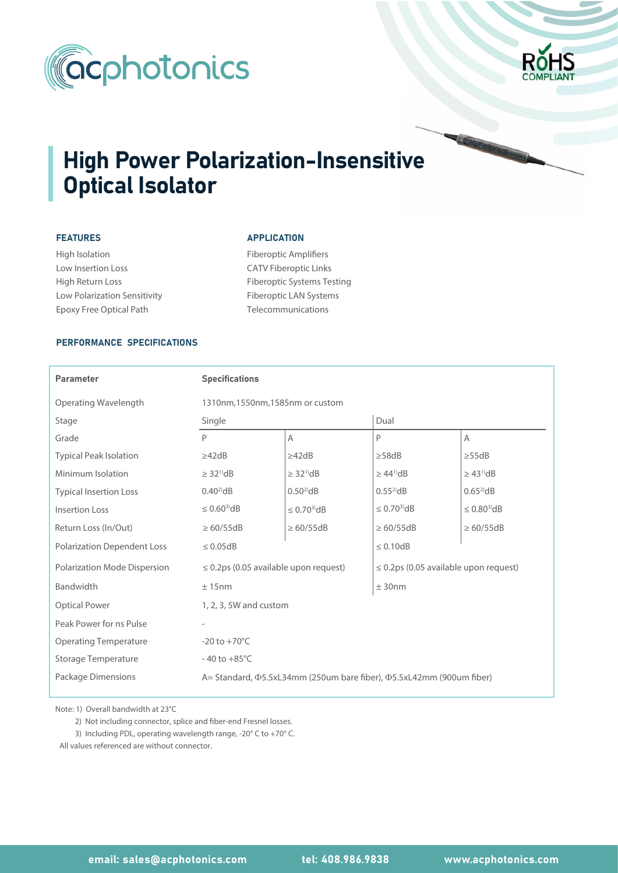



# **High Power Polarization-Insensitive** Optical Isolator

## FEATURES

High Isolation Low Insertion Loss High Return Loss Low Polarization Sensitivity Epoxy Free Optical Path

### **APPLICATION**

Fiberoptic Amplifiers CATV Fiberoptic Links Fiberoptic Systems Testing Fiberoptic LAN Systems Telecommunications

#### PERFORMANCE SPECIFICATIONS

| <b>Parameter</b>                   | <b>Specifications</b>                                                 |                               |                                            |                            |  |  |  |
|------------------------------------|-----------------------------------------------------------------------|-------------------------------|--------------------------------------------|----------------------------|--|--|--|
| Operating Wavelength               | 1310nm, 1550nm, 1585nm or custom                                      |                               |                                            |                            |  |  |  |
| Stage                              | Single                                                                |                               | Dual                                       |                            |  |  |  |
| Grade                              | P                                                                     | A                             | P                                          | Α                          |  |  |  |
| <b>Typical Peak Isolation</b>      | $\geq$ 42dB                                                           | $\geq$ 42dB                   | $\geq$ 58dB                                | $\geq$ 55dB                |  |  |  |
| Minimum Isolation                  | $\geq$ 32 <sup>1)</sup> dB                                            | $\geq$ 32 <sup>1)</sup> dB    | $\geq 44^{\mathrm{1}}$ dB                  | $\geq$ 43 <sup>1</sup> )dB |  |  |  |
| <b>Typical Insertion Loss</b>      | $0.40^{2}$ dB                                                         | $0.50^{2}$ dB                 | $0.55^{2}$ dB                              | $0.65^{2}$ dB              |  |  |  |
| <b>Insertion Loss</b>              | $\leq 0.60^{3}$ dB                                                    | $\leq$ 0.70 <sup>3</sup> $dB$ | $\leq 0.70^{3}$ dB                         | $\leq 0.80^{3}$ dB         |  |  |  |
| Return Loss (In/Out)               | $\geq 60/55dB$                                                        | $\geq 60/55dB$                | $\geq 60/55dB$                             | $\geq 60/55dB$             |  |  |  |
| <b>Polarization Dependent Loss</b> | $\leq 0.05$ dB                                                        |                               | $\leq 0.10$ dB                             |                            |  |  |  |
| Polarization Mode Dispersion       | $\leq$ 0.2ps (0.05 available upon request)                            |                               | $\leq$ 0.2ps (0.05 available upon request) |                            |  |  |  |
| Bandwidth                          | ± 15nm                                                                |                               | ± 30nm                                     |                            |  |  |  |
| <b>Optical Power</b>               | 1, 2, 3, 5W and custom                                                |                               |                                            |                            |  |  |  |
| Peak Power for ns Pulse            |                                                                       |                               |                                            |                            |  |  |  |
| <b>Operating Temperature</b>       | $-20$ to $+70^{\circ}$ C                                              |                               |                                            |                            |  |  |  |
| <b>Storage Temperature</b>         | $-40$ to $+85^{\circ}$ C                                              |                               |                                            |                            |  |  |  |
| Package Dimensions                 | A = Standard, Φ5.5xL34mm (250um bare fiber), Φ5.5xL42mm (900um fiber) |                               |                                            |                            |  |  |  |

Note: 1) Overall bandwidth at 23°C

2) Not including connector, splice and fiber-end Fresnel losses.

3) Including PDL, operating wavelength range, -20° C to +70° C.

All values referenced are without connector.